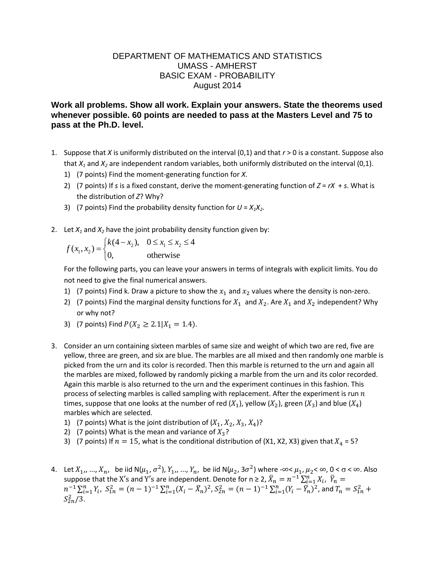## DEPARTMENT OF MATHEMATICS AND STATISTICS UMASS - AMHERST BASIC EXAM - PROBABILITY August 2014

## **Work all problems. Show all work. Explain your answers. State the theorems used whenever possible. 60 points are needed to pass at the Masters Level and 75 to pass at the Ph.D. level.**

- 1. Suppose that *X* is uniformly distributed on the interval (0,1) and that *r* > 0 is a constant. Suppose also that  $X_1$  and  $X_2$  are independent random variables, both uniformly distributed on the interval (0,1).
	- 1) (7 points) Find the moment-generating function for *X*.
	- 2) (7 points) If *s* is a fixed constant, derive the moment-generating function of  $Z = rX + s$ . What is the distribution of *Z*? Why?
	- 3) (7 points) Find the probability density function for  $U = X_1X_2$ .
- 

2. Let 
$$
X_1
$$
 and  $X_2$  have the joint probability density function given by:  
\n
$$
f(x_1, x_2) =\begin{cases} k(4-x_2), & 0 \le x_1 \le x_2 \le 4 \\ 0, & \text{otherwise} \end{cases}
$$

For the following parts, you can leave your answers in terms of integrals with explicit limits. You do not need to give the final numerical answers.

- 1) (7 points) Find k. Draw a picture to show the  $x_1$  and  $x_2$  values where the density is non-zero.
- 2) (7 points) Find the marginal density functions for  $X_1$  and  $X_2$ . Are  $X_1$  and  $X_2$  independent? Why or why not?
- 3) (7 points) Find  $P(X_2 \ge 2.1 | X_1 = 1.4)$ .
- 3. Consider an urn containing sixteen marbles of same size and weight of which two are red, five are yellow, three are green, and six are blue. The marbles are all mixed and then randomly one marble is picked from the urn and its color is recorded. Then this marble is returned to the urn and again all the marbles are mixed, followed by randomly picking a marble from the urn and its color recorded. Again this marble is also returned to the urn and the experiment continues in this fashion. This process of selecting marbles is called sampling with replacement. After the experiment is run  $n$ times, suppose that one looks at the number of red  $(X_1)$ , yellow  $(X_2)$ , green  $(X_3)$  and blue  $(X_4)$ marbles which are selected.
	- 1) (7 points) What is the joint distribution of  $(X_1, X_2, X_3, X_4)$ ?
	- 2) (7 points) What is the mean and variance of  $X_3$ ?
	- 3) (7 points) If  $n = 15$ , what is the conditional distribution of (X1, X2, X3) given that  $X_4 = 5$ ?
- 4. Let  $X_1, ..., X_n$ , be iid N( $\mu_1, \sigma^2$ ),  $Y_1, ..., Y_n$ , be iid N( $\mu_2, 3\sigma^2$ ) where - $\infty < \mu_1, \mu_2 < \infty$ , 0 <  $\sigma < \infty$ . Also suppose that the X's and Y's are independent. Denote for n ≥ 2,  $\bar{X}_n=n^{-1}\sum_{i=1}^nX_i$ ,  $\bar{Y}_n$  $n^{-1} \sum_{i=1}^n Y_i$ ,  $S_{1n}^2 = (n-1)^{-1} \sum_{i=1}^n (X_i - \bar{X}_n)^2$ ,  $S_{2n}^2 = (n-1)^{-1} \sum_{i=1}^n (Y_i - \bar{Y}_n)^2$ , and  $T_n = S_{1n}^2$  $S_{2n}^2/3$ .